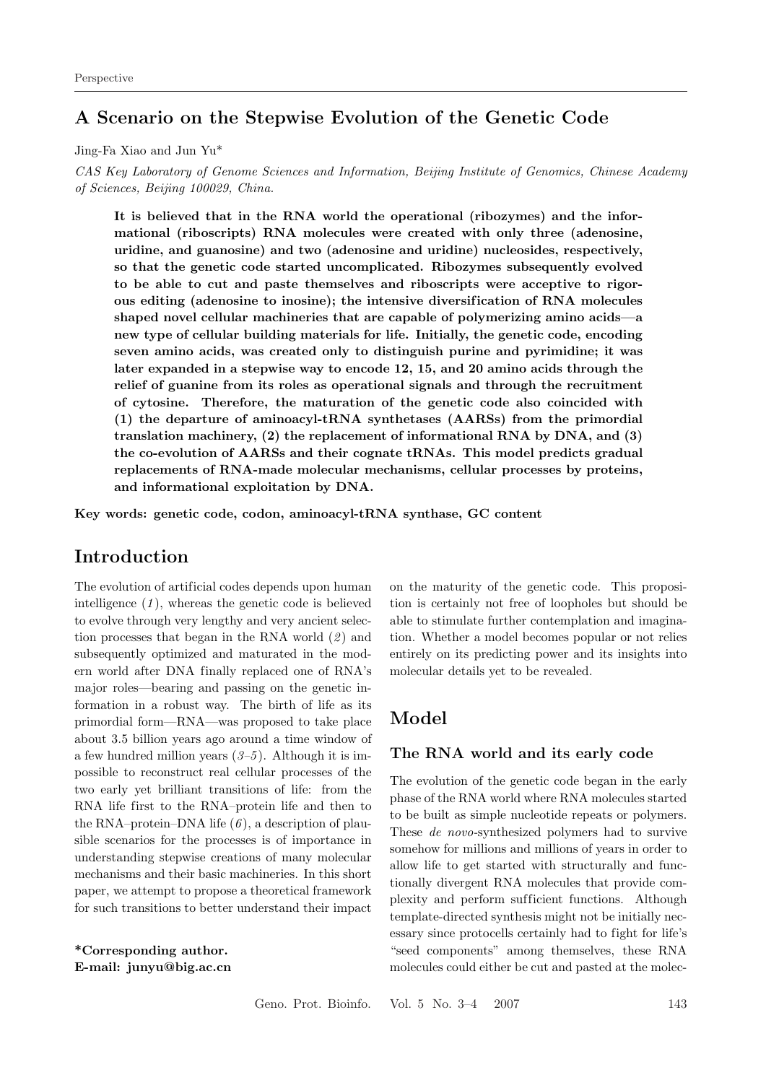## **A Scenario on the Stepwise Evolution of the Genetic Code**

Jing-Fa Xiao and Jun Yu\*

CAS Key Laboratory of Genome Sciences and Information, Beijing Institute of Genomics, Chinese Academy of Sciences, Beijing 100029, China.

**It is believed that in the RNA world the operational (ribozymes) and the informational (riboscripts) RNA molecules were created with only three (adenosine, uridine, and guanosine) and two (adenosine and uridine) nucleosides, respectively, so that the genetic code started uncomplicated. Ribozymes subsequently evolved to be able to cut and paste themselves and riboscripts were acceptive to rigorous editing (adenosine to inosine); the intensive diversif ication of RNA molecules shaped novel cellular machineries that are capable of polymerizing amino acids—a new type of cellular building materials for life. Initially, the genetic code, encoding seven amino acids, was created only to distinguish purine and pyrimidine; it was later expanded in a stepwise way to encode 12, 15, and 20 amino acids through the relief of guanine from its roles as operational signals and through the recruitment of cytosine. Therefore, the maturation of the genetic code also coincided with (1) the departure of aminoacyl-tRNA synthetases (AARSs) from the primordial translation machinery, (2) the replacement of informational RNA by DNA, and (3) the co-evolution of AARSs and their cognate tRNAs. This model predicts gradual replacements of RNA-made molecular mechanisms, cellular processes by proteins, and informational exploitation by DNA.**

**Key words: genetic code, codon, aminoacyl-tRNA synthase, GC content**

## **Introduction**

The evolution of artificial codes depends upon human intelligence  $(1)$ , whereas the genetic code is believed to evolve through very lengthy and very ancient selection processes that began in the RNA world  $(2)$  and subsequently optimized and maturated in the modern world after DNA finally replaced one of RNA's major roles—bearing and passing on the genetic information in a robust way. The birth of life as its primordial form—RNA—was proposed to take place about 3.5 billion years ago around a time window of a few hundred million years  $(3-5)$ . Although it is impossible to reconstruct real cellular processes of the two early yet brilliant transitions of life: from the RNA life first to the RNA–protein life and then to the RNA–protein–DNA life  $(6)$ , a description of plausible scenarios for the processes is of importance in understanding stepwise creations of many molecular mechanisms and their basic machineries. In this short paper, we attempt to propose a theoretical framework for such transitions to better understand their impact

**\*Corresponding author. E-mail: junyu@big.ac.cn** on the maturity of the genetic code. This proposition is certainly not free of loopholes but should be able to stimulate further contemplation and imagination. Whether a model becomes popular or not relies entirely on its predicting power and its insights into molecular details yet to be revealed.

### **Model**

#### **The RNA world and its early code**

The evolution of the genetic code began in the early phase of the RNA world where RNA molecules started to be built as simple nucleotide repeats or polymers. These de novo-synthesized polymers had to survive somehow for millions and millions of years in order to allow life to get started with structurally and functionally divergent RNA molecules that provide complexity and perform sufficient functions. Although template-directed synthesis might not be initially necessary since protocells certainly had to fight for life's "seed components" among themselves, these RNA molecules could either be cut and pasted at the molec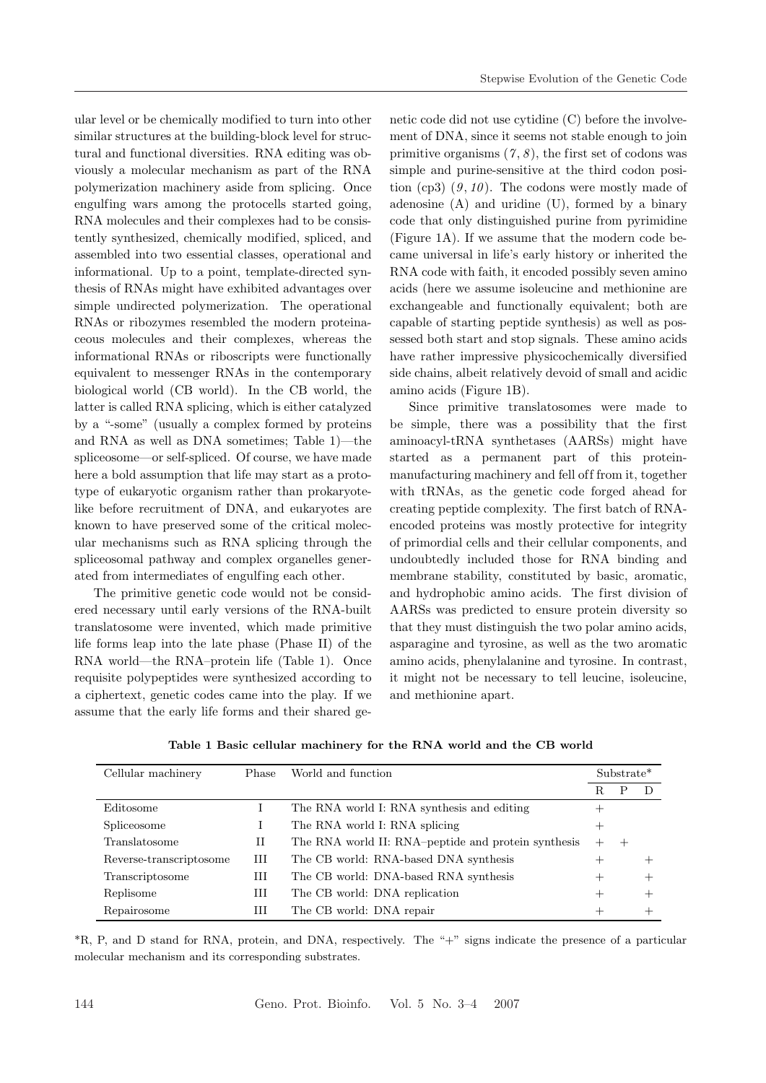ular level or be chemically modified to turn into other similar structures at the building-block level for structural and functional diversities. RNA editing was obviously a molecular mechanism as part of the RNA polymerization machinery aside from splicing. Once engulfing wars among the protocells started going, RNA molecules and their complexes had to be consistently synthesized, chemically modified, spliced, and assembled into two essential classes, operational and informational. Up to a point, template-directed synthesis of RNAs might have exhibited advantages over simple undirected polymerization. The operational RNAs or ribozymes resembled the modern proteinaceous molecules and their complexes, whereas the informational RNAs or riboscripts were functionally equivalent to messenger RNAs in the contemporary biological world (CB world). In the CB world, the latter is called RNA splicing, which is either catalyzed by a "-some" (usually a complex formed by proteins and RNA as well as DNA sometimes; Table 1)—the spliceosome—or self-spliced. Of course, we have made here a bold assumption that life may start as a prototype of eukaryotic organism rather than prokaryotelike before recruitment of DNA, and eukaryotes are known to have preserved some of the critical molecular mechanisms such as RNA splicing through the spliceosomal pathway and complex organelles generated from intermediates of engulfing each other.

The primitive genetic code would not be considered necessary until early versions of the RNA-built translatosome were invented, which made primitive life forms leap into the late phase (Phase II) of the RNA world—the RNA–protein life (Table 1). Once requisite polypeptides were synthesized according to a ciphertext, genetic codes came into the play. If we assume that the early life forms and their shared genetic code did not use cytidine (C) before the involvement of DNA, since it seems not stable enough to join primitive organisms  $(7, 8)$ , the first set of codons was simple and purine-sensitive at the third codon position (cp3)  $(9, 10)$ . The codons were mostly made of adenosine (A) and uridine (U), formed by a binary code that only distinguished purine from pyrimidine (Figure 1A). If we assume that the modern code became universal in life's early history or inherited the RNA code with faith, it encoded possibly seven amino acids (here we assume isoleucine and methionine are exchangeable and functionally equivalent; both are capable of starting peptide synthesis) as well as possessed both start and stop signals. These amino acids have rather impressive physicochemically diversified side chains, albeit relatively devoid of small and acidic amino acids (Figure 1B).

Since primitive translatosomes were made to be simple, there was a possibility that the first aminoacyl-tRNA synthetases (AARSs) might have started as a permanent part of this proteinmanufacturing machinery and fell off from it, together with tRNAs, as the genetic code forged ahead for creating peptide complexity. The first batch of RNAencoded proteins was mostly protective for integrity of primordial cells and their cellular components, and undoubtedly included those for RNA binding and membrane stability, constituted by basic, aromatic, and hydrophobic amino acids. The first division of AARSs was predicted to ensure protein diversity so that they must distinguish the two polar amino acids, asparagine and tyrosine, as well as the two aromatic amino acids, phenylalanine and tyrosine. In contrast, it might not be necessary to tell leucine, isoleucine, and methionine apart.

| Cellular machinery      | Phase | World and function                                  | $Substrate*$ |  |        |
|-------------------------|-------|-----------------------------------------------------|--------------|--|--------|
|                         |       |                                                     | R.           |  |        |
| Editosome               |       | The RNA world I: RNA synthesis and editing          | $^+$         |  |        |
| Spliceosome             |       | The RNA world I: RNA splicing                       | $^+$         |  |        |
| Translatosome           | H     | The RNA world II: RNA-peptide and protein synthesis |              |  |        |
| Reverse-transcriptosome | Ш     | The CB world: RNA-based DNA synthesis               | $^+$         |  | $^+$   |
| Transcriptosome         | Ш     | The CB world: DNA-based RNA synthesis               | $^+$         |  | $^{+}$ |
| Replisome               | Ш     | The CB world: DNA replication                       | $^+$         |  | $^{+}$ |
| Repairosome             | Ш     | The CB world: DNA repair                            |              |  | +      |

**Table 1 Basic cellular machinery for the RNA world and the CB world**

\*R, P, and D stand for RNA, protein, and DNA, respectively. The "+" signs indicate the presence of a particular molecular mechanism and its corresponding substrates.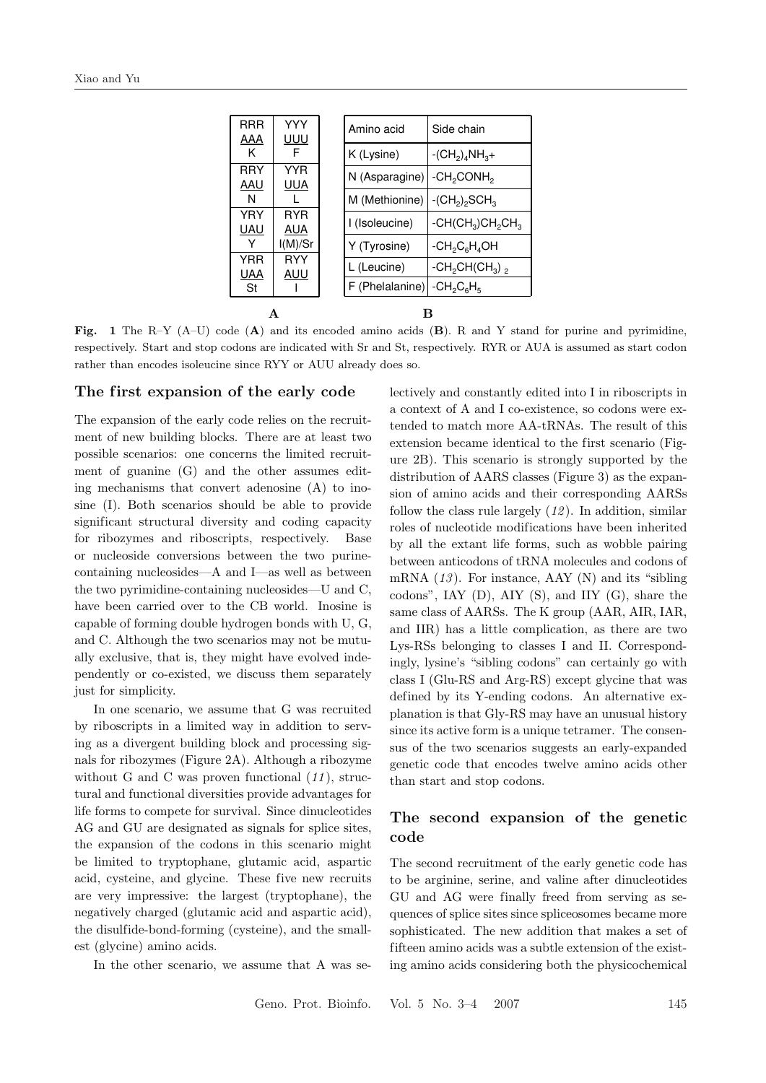| <b>YYY</b><br><b>RRR</b><br><u>UUU</u><br>AAA |                   | Amino acid      |   | Side chain                                        |  |
|-----------------------------------------------|-------------------|-----------------|---|---------------------------------------------------|--|
| Κ                                             | F                 | K (Lysine)      |   | $-(CH_2)_4NH_3 +$                                 |  |
| <b>RRY</b><br>AAU                             | <b>YYR</b><br>UUA | N (Asparagine)  |   | -CH <sub>2</sub> CONH <sub>2</sub>                |  |
| N                                             |                   | M (Methionine)  |   | $-CH_2$ <sub>2</sub> SCH <sub>3</sub>             |  |
| <b>YRY</b><br><u>UAU</u>                      | <b>RYR</b><br>AUA | I (Isoleucine)  |   | $-CH(CH_3)CH_2CH_3$                               |  |
|                                               | I(M)/Sr           | Y (Tyrosine)    |   | -CH <sub>2</sub> C <sub>6</sub> H <sub>4</sub> OH |  |
| <b>YRR</b><br><b>UAA</b>                      | <b>RYY</b><br>AUU | L (Leucine)     |   | $-CH2CH(CH3)2$                                    |  |
| <b>St</b>                                     |                   | F (Phelalanine) |   | $-CH2CH5$                                         |  |
|                                               |                   |                 | R |                                                   |  |

**Fig. 1** The R–Y (A–U) code (**A**) and its encoded amino acids (**B**). R and Y stand for purine and pyrimidine, respectively. Start and stop codons are indicated with Sr and St, respectively. RYR or AUA is assumed as start codon rather than encodes isoleucine since RYY or AUU already does so.

#### The first expansion of the early code

The expansion of the early code relies on the recruitment of new building blocks. There are at least two possible scenarios: one concerns the limited recruitment of guanine (G) and the other assumes editing mechanisms that convert adenosine (A) to inosine (I). Both scenarios should be able to provide significant structural diversity and coding capacity for ribozymes and riboscripts, respectively. Base or nucleoside conversions between the two purinecontaining nucleosides—A and I—as well as between the two pyrimidine-containing nucleosides—U and C, have been carried over to the CB world. Inosine is capable of forming double hydrogen bonds with U, G, and C. Although the two scenarios may not be mutually exclusive, that is, they might have evolved independently or co-existed, we discuss them separately just for simplicity.

In one scenario, we assume that G was recruited by riboscripts in a limited way in addition to serving as a divergent building block and processing signals for ribozymes (Figure 2A). Although a ribozyme without G and C was proven functional  $(11)$ , structural and functional diversities provide advantages for life forms to compete for survival. Since dinucleotides AG and GU are designated as signals for splice sites, the expansion of the codons in this scenario might be limited to tryptophane, glutamic acid, aspartic acid, cysteine, and glycine. These five new recruits are very impressive: the largest (tryptophane), the negatively charged (glutamic acid and aspartic acid), the disulfide-bond-forming (cysteine), and the smallest (glycine) amino acids.

In the other scenario, we assume that A was se-

lectively and constantly edited into I in riboscripts in a context of A and I co-existence, so codons were extended to match more AA-tRNAs. The result of this extension became identical to the first scenario (Figure 2B). This scenario is strongly supported by the distribution of AARS classes (Figure 3) as the expansion of amino acids and their corresponding AARSs follow the class rule largely  $(12)$ . In addition, similar roles of nucleotide modifications have been inherited by all the extant life forms, such as wobble pairing between anticodons of tRNA molecules and codons of mRNA  $(13)$ . For instance, AAY (N) and its "sibling codons", IAY (D), AIY (S), and IIY (G), share the same class of AARSs. The K group (AAR, AIR, IAR, and IIR) has a little complication, as there are two Lys-RSs belonging to classes I and II. Correspondingly, lysine's "sibling codons" can certainly go with class I (Glu-RS and Arg-RS) except glycine that was defined by its Y-ending codons. An alternative explanation is that Gly-RS may have an unusual history since its active form is a unique tetramer. The consensus of the two scenarios suggests an early-expanded genetic code that encodes twelve amino acids other than start and stop codons.

### **The second expansion of the genetic code**

The second recruitment of the early genetic code has to be arginine, serine, and valine after dinucleotides GU and AG were finally freed from serving as sequences of splice sites since spliceosomes became more sophisticated. The new addition that makes a set of fifteen amino acids was a subtle extension of the existing amino acids considering both the physicochemical

Geno. Prot. Bioinfo. Vol. 5 No. 3–4 2007 145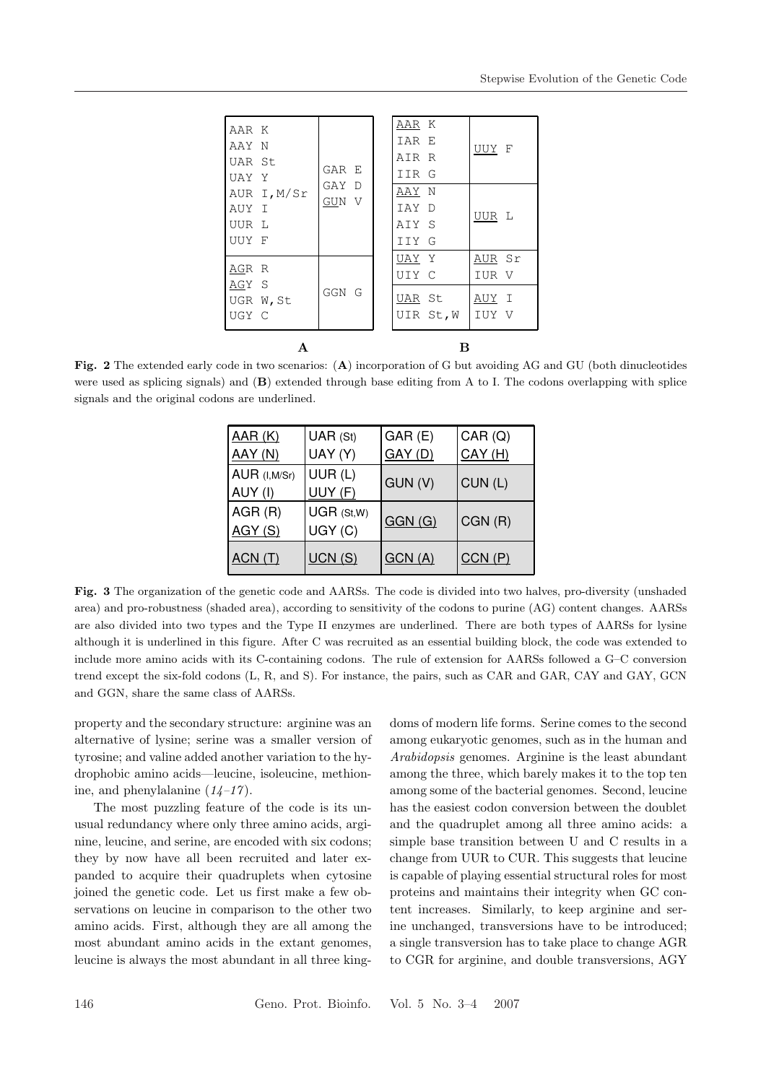|        |             |       | в      |           |        |  |
|--------|-------------|-------|--------|-----------|--------|--|
| UGY C  |             |       |        | UIR St, W | IUY V  |  |
|        | UGR W, St   | GGN G | UAR St |           | AUY I  |  |
| AGY S  |             |       | UIY C  |           | IUR V  |  |
| AGR R  |             |       | UAY Y  |           | AUR Sr |  |
| UUY F  |             |       | IIY G  |           |        |  |
| UUR L  |             |       | AIY S  |           | UUR L  |  |
| AUY I  |             | GUN V | IAY D  |           |        |  |
|        | AUR I, M/Sr | GAY D | AAY N  |           |        |  |
| UAY Y  |             | GAR E | IIR G  |           |        |  |
| UAR St |             |       | AIR R  |           |        |  |
| AAY N  |             |       | IAR E  |           | UUY F  |  |
| AAR K  |             |       | AAR K  |           |        |  |

**Fig. 2** The extended early code in two scenarios: (**A**) incorporation of G but avoiding AG and GU (both dinucleotides were used as splicing signals) and (**B**) extended through base editing from A to I. The codons overlapping with splice signals and the original codons are underlined.

| <b>AAR (K)</b> | $UAR$ (St)    | GAR(E)         | CAR(Q)         |  |  |
|----------------|---------------|----------------|----------------|--|--|
| <b>AAY (N)</b> | UAY (Y)       | <b>GAY (D)</b> | <u>CAY (H)</u> |  |  |
| AUR (I, M/Sr)  | UUR(L)        | GUN (V)        | CUN(L)         |  |  |
| AUY (I)        | UUY (F)       |                |                |  |  |
| AGR(R)         | $UGR$ (St, W) |                |                |  |  |
| <u>AGY (S)</u> | UGY(C)        | GGN(G)         | CGN(R)         |  |  |
| ACN(T)         | UCN(S)        | GCN(A)         | CCN(P)         |  |  |

**Fig. 3** The organization of the genetic code and AARSs. The code is divided into two halves, pro-diversity (unshaded area) and pro-robustness (shaded area), according to sensitivity of the codons to purine (AG) content changes. AARSs are also divided into two types and the Type II enzymes are underlined. There are both types of AARSs for lysine although it is underlined in this figure. After C was recruited as an essential building block, the code was extended to include more amino acids with its C-containing codons. The rule of extension for AARSs followed a G–C conversion trend except the six-fold codons (L, R, and S). For instance, the pairs, such as CAR and GAR, CAY and GAY, GCN and GGN, share the same class of AARSs.

property and the secondary structure: arginine was an alternative of lysine; serine was a smaller version of tyrosine; and valine added another variation to the hydrophobic amino acids—leucine, isoleucine, methionine, and phenylalanine  $(14-17)$ .

The most puzzling feature of the code is its unusual redundancy where only three amino acids, arginine, leucine, and serine, are encoded with six codons; they by now have all been recruited and later expanded to acquire their quadruplets when cytosine joined the genetic code. Let us first make a few observations on leucine in comparison to the other two amino acids. First, although they are all among the most abundant amino acids in the extant genomes, leucine is always the most abundant in all three kingdoms of modern life forms. Serine comes to the second among eukaryotic genomes, such as in the human and Arabidopsis genomes. Arginine is the least abundant among the three, which barely makes it to the top ten among some of the bacterial genomes. Second, leucine has the easiest codon conversion between the doublet and the quadruplet among all three amino acids: a simple base transition between U and C results in a change from UUR to CUR. This suggests that leucine is capable of playing essential structural roles for most proteins and maintains their integrity when GC content increases. Similarly, to keep arginine and serine unchanged, transversions have to be introduced; a single transversion has to take place to change AGR to CGR for arginine, and double transversions, AGY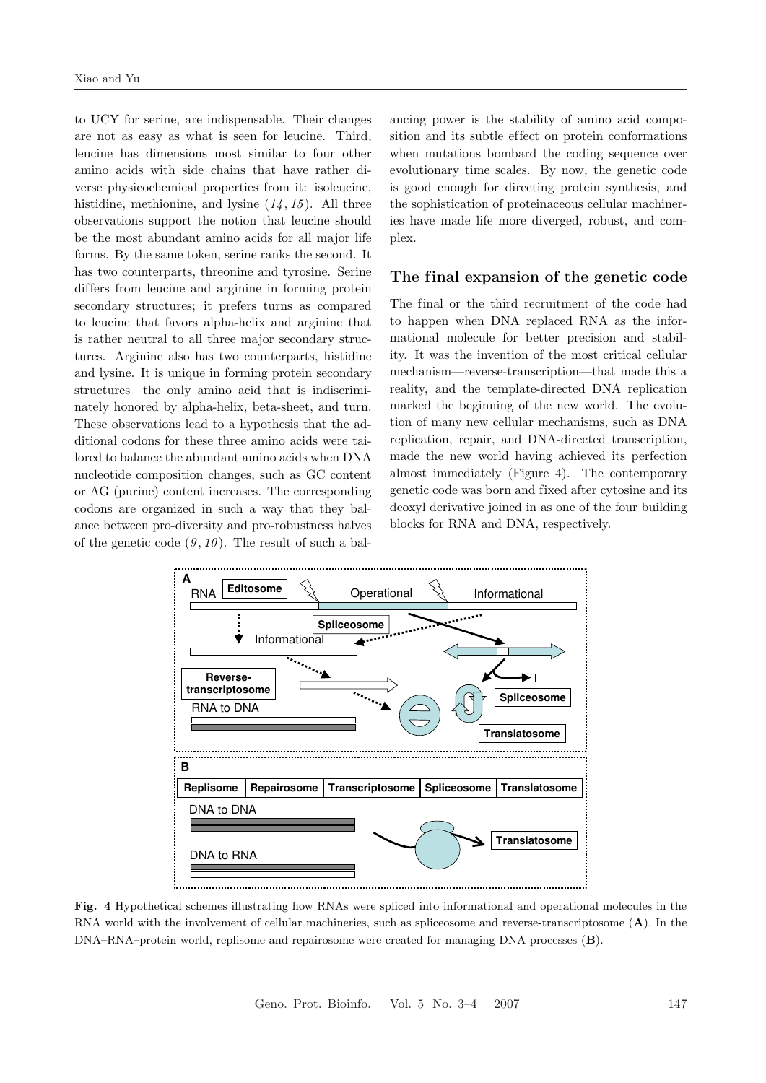to UCY for serine, are indispensable. Their changes are not as easy as what is seen for leucine. Third, leucine has dimensions most similar to four other amino acids with side chains that have rather diverse physicochemical properties from it: isoleucine, histidine, methionine, and lysine  $(14, 15)$ . All three observations support the notion that leucine should be the most abundant amino acids for all major life forms. By the same token, serine ranks the second. It has two counterparts, threonine and tyrosine. Serine differs from leucine and arginine in forming protein secondary structures; it prefers turns as compared to leucine that favors alpha-helix and arginine that is rather neutral to all three major secondary structures. Arginine also has two counterparts, histidine and lysine. It is unique in forming protein secondary structures—the only amino acid that is indiscriminately honored by alpha-helix, beta-sheet, and turn. These observations lead to a hypothesis that the additional codons for these three amino acids were tailored to balance the abundant amino acids when DNA nucleotide composition changes, such as GC content or AG (purine) content increases. The corresponding codons are organized in such a way that they balance between pro-diversity and pro-robustness halves of the genetic code  $(9, 10)$ . The result of such a balancing power is the stability of amino acid composition and its subtle effect on protein conformations when mutations bombard the coding sequence over evolutionary time scales. By now, the genetic code is good enough for directing protein synthesis, and the sophistication of proteinaceous cellular machineries have made life more diverged, robust, and complex.

#### The final expansion of the genetic code

The final or the third recruitment of the code had to happen when DNA replaced RNA as the informational molecule for better precision and stability. It was the invention of the most critical cellular mechanism—reverse-transcription—that made this a reality, and the template-directed DNA replication marked the beginning of the new world. The evolution of many new cellular mechanisms, such as DNA replication, repair, and DNA-directed transcription, made the new world having achieved its perfection almost immediately (Figure 4). The contemporary genetic code was born and fixed after cytosine and its deoxyl derivative joined in as one of the four building blocks for RNA and DNA, respectively.



**Fig. 4** Hypothetical schemes illustrating how RNAs were spliced into informational and operational molecules in the RNA world with the involvement of cellular machineries, such as spliceosome and reverse-transcriptosome (**A**). In the DNA–RNA–protein world, replisome and repairosome were created for managing DNA processes (**B**).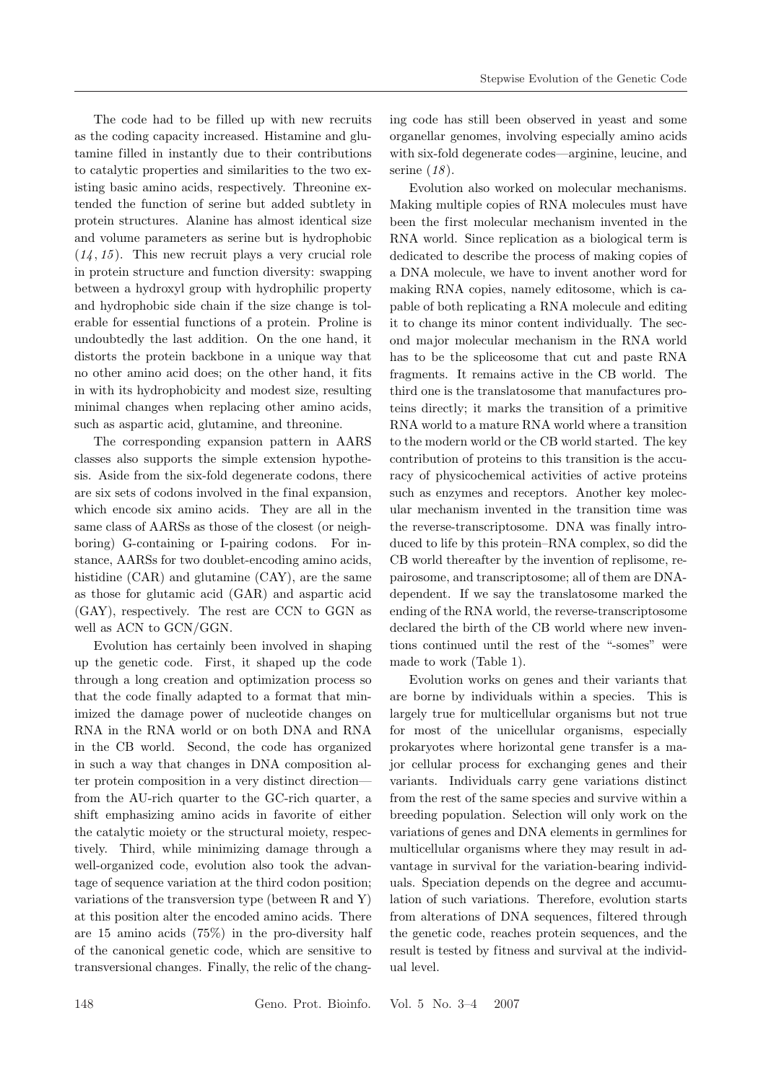The code had to be filled up with new recruits as the coding capacity increased. Histamine and glutamine filled in instantly due to their contributions to catalytic properties and similarities to the two existing basic amino acids, respectively. Threonine extended the function of serine but added subtlety in protein structures. Alanine has almost identical size and volume parameters as serine but is hydrophobic  $(14, 15)$ . This new recruit plays a very crucial role in protein structure and function diversity: swapping between a hydroxyl group with hydrophilic property and hydrophobic side chain if the size change is tolerable for essential functions of a protein. Proline is undoubtedly the last addition. On the one hand, it distorts the protein backbone in a unique way that no other amino acid does; on the other hand, it fits in with its hydrophobicity and modest size, resulting minimal changes when replacing other amino acids, such as aspartic acid, glutamine, and threonine.

The corresponding expansion pattern in AARS classes also supports the simple extension hypothesis. Aside from the six-fold degenerate codons, there are six sets of codons involved in the final expansion, which encode six amino acids. They are all in the same class of AARSs as those of the closest (or neighboring) G-containing or I-pairing codons. For instance, AARSs for two doublet-encoding amino acids, histidine (CAR) and glutamine (CAY), are the same as those for glutamic acid (GAR) and aspartic acid (GAY), respectively. The rest are CCN to GGN as well as ACN to GCN/GGN.

Evolution has certainly been involved in shaping up the genetic code. First, it shaped up the code through a long creation and optimization process so that the code finally adapted to a format that minimized the damage power of nucleotide changes on RNA in the RNA world or on both DNA and RNA in the CB world. Second, the code has organized in such a way that changes in DNA composition alter protein composition in a very distinct direction from the AU-rich quarter to the GC-rich quarter, a shift emphasizing amino acids in favorite of either the catalytic moiety or the structural moiety, respectively. Third, while minimizing damage through a well-organized code, evolution also took the advantage of sequence variation at the third codon position; variations of the transversion type (between R and Y) at this position alter the encoded amino acids. There are 15 amino acids (75%) in the pro-diversity half of the canonical genetic code, which are sensitive to transversional changes. Finally, the relic of the changing code has still been observed in yeast and some organellar genomes, involving especially amino acids with six-fold degenerate codes—arginine, leucine, and serine  $(18)$ .

Evolution also worked on molecular mechanisms. Making multiple copies of RNA molecules must have been the first molecular mechanism invented in the RNA world. Since replication as a biological term is dedicated to describe the process of making copies of a DNA molecule, we have to invent another word for making RNA copies, namely editosome, which is capable of both replicating a RNA molecule and editing it to change its minor content individually. The second major molecular mechanism in the RNA world has to be the spliceosome that cut and paste RNA fragments. It remains active in the CB world. The third one is the translatosome that manufactures proteins directly; it marks the transition of a primitive RNA world to a mature RNA world where a transition to the modern world or the CB world started. The key contribution of proteins to this transition is the accuracy of physicochemical activities of active proteins such as enzymes and receptors. Another key molecular mechanism invented in the transition time was the reverse-transcriptosome. DNA was finally introduced to life by this protein–RNA complex, so did the CB world thereafter by the invention of replisome, repairosome, and transcriptosome; all of them are DNAdependent. If we say the translatosome marked the ending of the RNA world, the reverse-transcriptosome declared the birth of the CB world where new inventions continued until the rest of the "-somes" were made to work (Table 1).

Evolution works on genes and their variants that are borne by individuals within a species. This is largely true for multicellular organisms but not true for most of the unicellular organisms, especially prokaryotes where horizontal gene transfer is a major cellular process for exchanging genes and their variants. Individuals carry gene variations distinct from the rest of the same species and survive within a breeding population. Selection will only work on the variations of genes and DNA elements in germlines for multicellular organisms where they may result in advantage in survival for the variation-bearing individuals. Speciation depends on the degree and accumulation of such variations. Therefore, evolution starts from alterations of DNA sequences, filtered through the genetic code, reaches protein sequences, and the result is tested by fitness and survival at the individual level.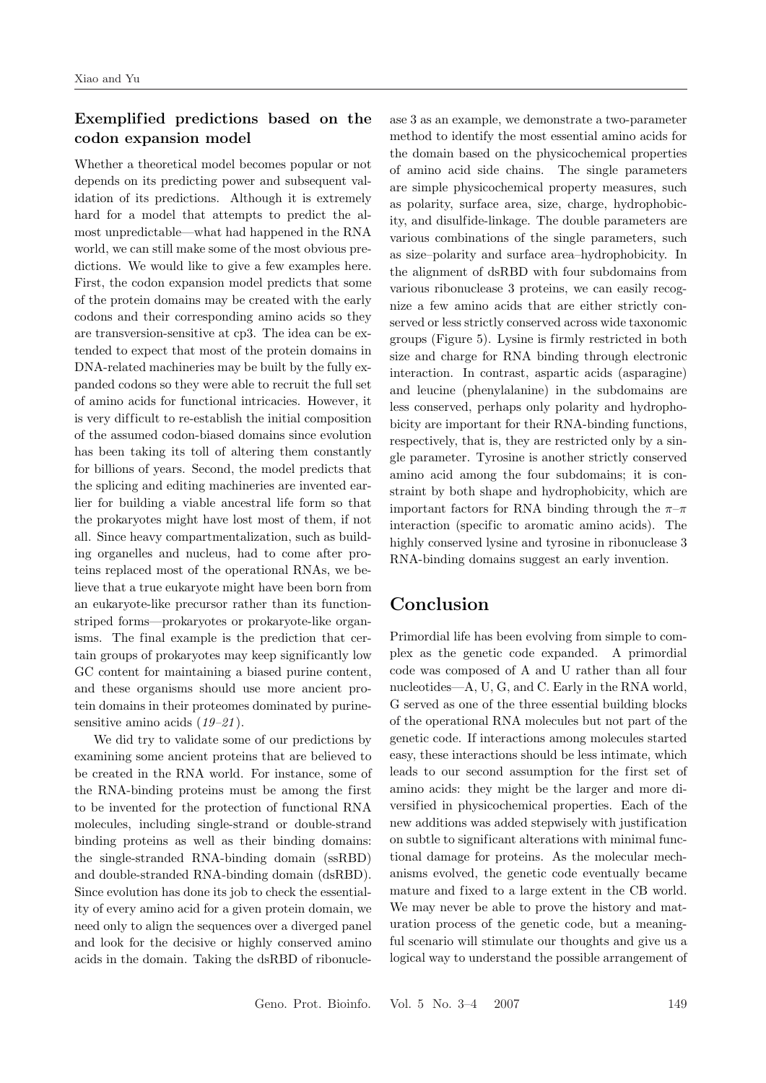### **Exemplif ied predictions based on the codon expansion model**

Whether a theoretical model becomes popular or not depends on its predicting power and subsequent validation of its predictions. Although it is extremely hard for a model that attempts to predict the almost unpredictable—what had happened in the RNA world, we can still make some of the most obvious predictions. We would like to give a few examples here. First, the codon expansion model predicts that some of the protein domains may be created with the early codons and their corresponding amino acids so they are transversion-sensitive at cp3. The idea can be extended to expect that most of the protein domains in DNA-related machineries may be built by the fully expanded codons so they were able to recruit the full set of amino acids for functional intricacies. However, it is very dif ficult to re-establish the initial composition of the assumed codon-biased domains since evolution has been taking its toll of altering them constantly for billions of years. Second, the model predicts that the splicing and editing machineries are invented earlier for building a viable ancestral life form so that the prokaryotes might have lost most of them, if not all. Since heavy compartmentalization, such as building organelles and nucleus, had to come after proteins replaced most of the operational RNAs, we believe that a true eukaryote might have been born from an eukaryote-like precursor rather than its functionstriped forms—prokaryotes or prokaryote-like organisms. The final example is the prediction that certain groups of prokaryotes may keep significantly low GC content for maintaining a biased purine content, and these organisms should use more ancient protein domains in their proteomes dominated by purinesensitive amino acids  $(19-21)$ .

We did try to validate some of our predictions by examining some ancient proteins that are believed to be created in the RNA world. For instance, some of the RNA-binding proteins must be among the first to be invented for the protection of functional RNA molecules, including single-strand or double-strand binding proteins as well as their binding domains: the single-stranded RNA-binding domain (ssRBD) and double-stranded RNA-binding domain (dsRBD). Since evolution has done its job to check the essentiality of every amino acid for a given protein domain, we need only to align the sequences over a diverged panel and look for the decisive or highly conserved amino acids in the domain. Taking the dsRBD of ribonuclease 3 as an example, we demonstrate a two-parameter method to identify the most essential amino acids for the domain based on the physicochemical properties of amino acid side chains. The single parameters are simple physicochemical property measures, such as polarity, surface area, size, charge, hydrophobicity, and disulfide-linkage. The double parameters are various combinations of the single parameters, such as size–polarity and surface area–hydrophobicity. In the alignment of dsRBD with four subdomains from various ribonuclease 3 proteins, we can easily recognize a few amino acids that are either strictly conserved or less strictly conserved across wide taxonomic groups (Figure 5). Lysine is firmly restricted in both size and charge for RNA binding through electronic interaction. In contrast, aspartic acids (asparagine) and leucine (phenylalanine) in the subdomains are less conserved, perhaps only polarity and hydrophobicity are important for their RNA-binding functions, respectively, that is, they are restricted only by a single parameter. Tyrosine is another strictly conserved amino acid among the four subdomains; it is constraint by both shape and hydrophobicity, which are important factors for RNA binding through the  $\pi-\pi$ interaction (specific to aromatic amino acids). The highly conserved lysine and tyrosine in ribonuclease 3 RNA-binding domains suggest an early invention.

# **Conclusion**

Primordial life has been evolving from simple to complex as the genetic code expanded. A primordial code was composed of A and U rather than all four nucleotides—A, U, G, and C. Early in the RNA world, G served as one of the three essential building blocks of the operational RNA molecules but not part of the genetic code. If interactions among molecules started easy, these interactions should be less intimate, which leads to our second assumption for the first set of amino acids: they might be the larger and more diversified in physicochemical properties. Each of the new additions was added stepwisely with justification on subtle to significant alterations with minimal functional damage for proteins. As the molecular mechanisms evolved, the genetic code eventually became mature and fixed to a large extent in the CB world. We may never be able to prove the history and maturation process of the genetic code, but a meaningful scenario will stimulate our thoughts and give us a logical way to understand the possible arrangement of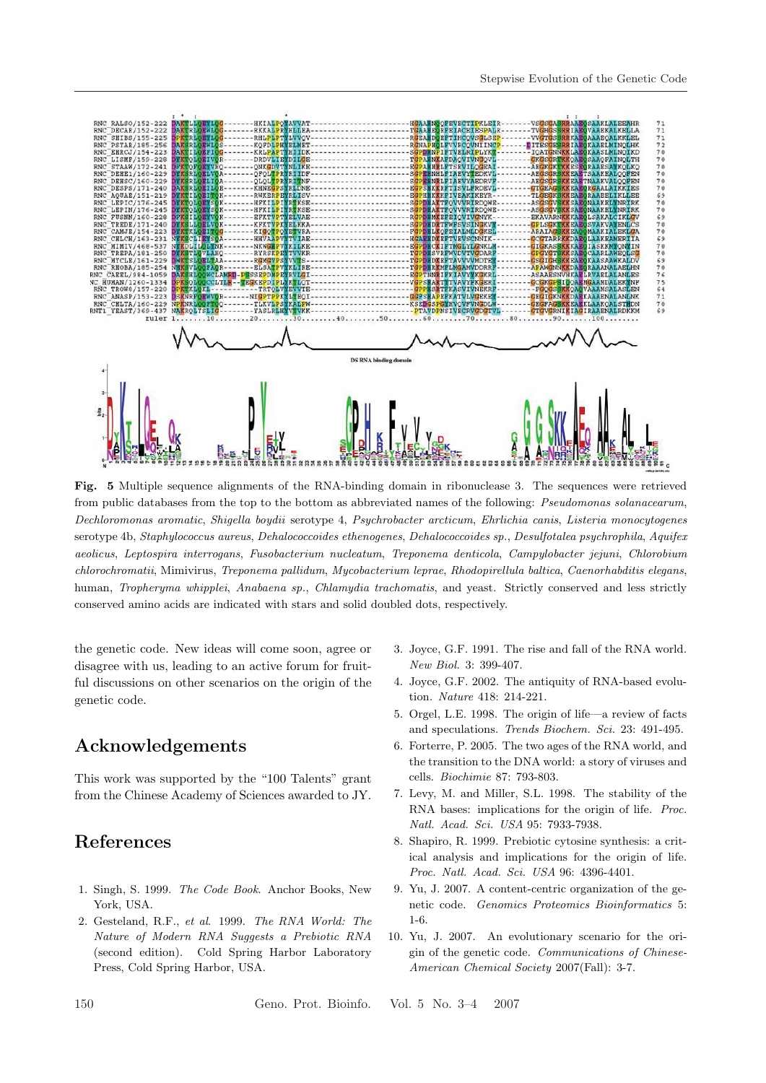

**Fig. 5** Multiple sequence alignments of the RNA-binding domain in ribonuclease 3. The sequences were retrieved from public databases from the top to the bottom as abbreviated names of the following: *Pseudomonas solanacearum*, *Dechloromonas aromatic*, *Shigella boydii* serotype 4, *Psychrobacter arcticum*, *Ehrlichia canis*, *Listeria monocytogenes* serotype 4b, *Staphylococcus aureus*, *Dehalococcoides ethenogenes*, *Dehalococcoides sp.*, *Desulfotalea psychrophila*, *Aquifex aeolicus*, *Leptospira interrogans*, *Fusobacterium nucleatum*, *Treponema denticola*, *Campylobacter jejuni*, *Chlorobium chlorochromatii*, Mimivirus, *Treponema pallidum*, *Mycobacterium leprae*, *Rhodopirellula baltica*, *Caenorhabditis elegans*, human, *Tropheryma whipplei*, *Anabaena sp.*, *Chlamydia trachomatis*, and yeast. Strictly conserved and less strictly conserved amino acids are indicated with stars and solid doubled dots, respectively.

the genetic code. New ideas will come soon, agree or disagree with us, leading to an active forum for fruitful discussions on other scenarios on the origin of the genetic code.

# **Acknowledgements**

This work was supported by the "100 Talents" grant from the Chinese Academy of Sciences awarded to JY.

# **References**

- 1. Singh, S. 1999. *The Code Book*. Anchor Books, New York, USA.
- 2. Gesteland, R.F., *et al*. 1999. *The RNA World: The Nature of Modern RNA Suggests a Prebiotic RNA* (second edition). Cold Spring Harbor Laboratory Press, Cold Spring Harbor, USA.
- 3. Joyce, G.F. 1991. The rise and fall of the RNA world. *New Biol.* 3: 399-407.
- 4. Joyce, G.F. 2002. The antiquity of RNA-based evolution. *Nature* 418: 214-221.
- 5. Orgel, L.E. 1998. The origin of life—a review of facts and speculations. *Trends Biochem. Sci.* 23: 491-495.
- 6. Forterre, P. 2005. The two ages of the RNA world, and the transition to the DNA world: a story of viruses and cells. *Biochimie* 87: 793-803.
- 7. Levy, M. and Miller, S.L. 1998. The stability of the RNA bases: implications for the origin of life. *Proc. Natl. Acad. Sci. USA* 95: 7933-7938.
- 8. Shapiro, R. 1999. Prebiotic cytosine synthesis: a critical analysis and implications for the origin of life. *Proc. Natl. Acad. Sci. USA* 96: 4396-4401.
- 9. Yu, J. 2007. A content-centric organization of the genetic code. *Genomics Proteomics Bioinformatics* 5: 1-6.
- 10. Yu, J. 2007. An evolutionary scenario for the origin of the genetic code. *Communications of Chinese-American Chemical Society* 2007(Fall): 3-7.